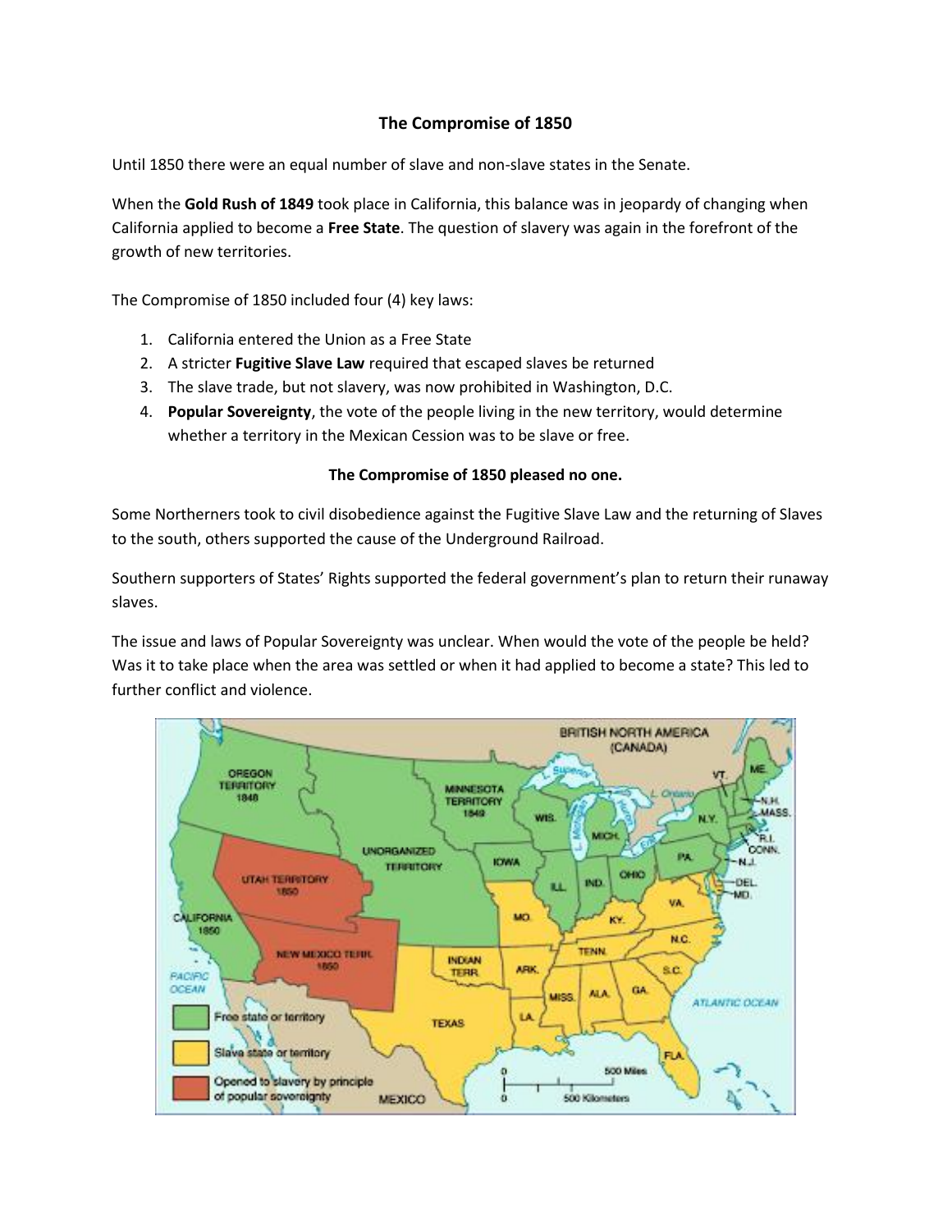## **The Compromise of 1850**

Until 1850 there were an equal number of slave and non-slave states in the Senate.

When the **Gold Rush of 1849** took place in California, this balance was in jeopardy of changing when California applied to become a **Free State**. The question of slavery was again in the forefront of the growth of new territories.

The Compromise of 1850 included four (4) key laws:

- 1. California entered the Union as a Free State
- 2. A stricter **Fugitive Slave Law** required that escaped slaves be returned
- 3. The slave trade, but not slavery, was now prohibited in Washington, D.C.
- 4. **Popular Sovereignty**, the vote of the people living in the new territory, would determine whether a territory in the Mexican Cession was to be slave or free.

## **The Compromise of 1850 pleased no one.**

Some Northerners took to civil disobedience against the Fugitive Slave Law and the returning of Slaves to the south, others supported the cause of the Underground Railroad.

Southern supporters of States' Rights supported the federal government's plan to return their runaway slaves.

The issue and laws of Popular Sovereignty was unclear. When would the vote of the people be held? Was it to take place when the area was settled or when it had applied to become a state? This led to further conflict and violence.